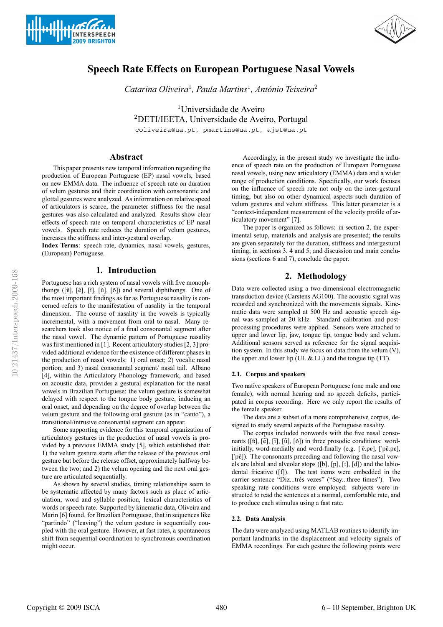



# **Speech Rate Effects on European Portuguese Nasal Vowels**

*Catarina Oliveira*<sup>1</sup>*, Paula Martins*<sup>1</sup>*, António Teixeira*<sup>2</sup>

<sup>1</sup>Universidade de Aveiro <sup>2</sup>DETI/IEETA, Universidade de Aveiro, Portugal coliveira@ua.pt, pmartins@ua.pt, ajst@ua.pt

# **Abstract**

This paper presents new temporal information regarding the production of European Portuguese (EP) nasal vowels, based on new EMMA data. The influence of speech rate on duration of velum gestures and their coordination with consonantic and glottal gestures were analyzed. As information on relative speed of articulators is scarce, the parameter stiffness for the nasal gestures was also calculated and analyzed. Results show clear effects of speech rate on temporal characteristics of EP nasal vowels. Speech rate reduces the duration of velum gestures, increases the stiffness and inter-gestural overlap.

**Index Terms**: speech rate, dynamics, nasal vowels, gestures, (European) Portuguese.

### **1. Introduction**

Portuguese has a rich system of nasal vowels with five monophthongs ( $[\tilde{v}]$ ,  $[\tilde{v}]$ ,  $[\tilde{u}]$ ,  $[\tilde{u}]$ ,  $[\tilde{v}]$ ) and several diphthongs. One of the most important findings as far as Portuguese nasality is concerned refers to the manifestation of nasality in the temporal dimension. The course of nasality in the vowels is typically incremental, with a movement from oral to nasal. Many researchers took also notice of a final consonantal segment after the nasal vowel. The dynamic pattern of Portuguese nasality was first mentioned in [1]. Recent articulatory studies [2, 3] provided additional evidence for the existence of different phases in the production of nasal vowels: 1) oral onset; 2) vocalic nasal portion; and 3) nasal consonantal segment/ nasal tail. Albano [4], within the Articulatory Phonology framework, and based on acoustic data, provides a gestural explanation for the nasal vowels in Brazilian Portuguese: the velum gesture is somewhat delayed with respect to the tongue body gesture, inducing an oral onset, and depending on the degree of overlap between the velum gesture and the following oral gesture (as in "canto"), a transitional/intrusive consonantal segment can appear.

Some supporting evidence for this temporal organization of articulatory gestures in the production of nasal vowels is provided by a previous EMMA study [5], which established that: 1) the velum gesture starts after the release of the previous oral gesture but before the release offset, approximately halfway between the two; and 2) the velum opening and the next oral gesture are articulated sequentially.

As shown by several studies, timing relationships seem to be systematic affected by many factors such as place of articulation, word and syllable position, lexical characteristics of words or speech rate. Supported by kinematic data, Oliveira and Marin [6] found, for Brazilian Portuguese, that in sequences like "partindo" ("leaving") the velum gesture is sequentially coupled with the oral gesture. However, at fast rates, a spontaneous shift from sequential coordination to synchronous coordination might occur.

Accordingly, in the present study we investigate the influence of speech rate on the production of European Portuguese nasal vowels, using new articulatory (EMMA) data and a wider range of production conditions. Specifically, our work focuses on the influence of speech rate not only on the inter-gestural timing, but also on other dynamical aspects such duration of velum gestures and velum stiffness. This latter parameter is a "context-independent measurement of the velocity profile of articulatory movement" [7].

The paper is organized as follows: in section 2, the experimental setup, materials and analysis are presented; the results are given separately for the duration, stiffness and intergestural timing, in sections 3, 4 and 5; and discussion and main conclusions (sections 6 and 7), conclude the paper.

## **2. Methodology**

Data were collected using a two-dimensional electromagnetic transduction device (Carstens AG100). The acoustic signal was recorded and synchronized with the movements signals. Kinematic data were sampled at 500 Hz and acoustic speech signal was sampled at 20 kHz. Standard calibration and postprocessing procedures were applied. Sensors were attached to upper and lower lip, jaw, tongue tip, tongue body and velum. Additional sensors served as reference for the signal acquisition system. In this study we focus on data from the velum (V), the upper and lower lip (UL  $&$  LL) and the tongue tip (TT).

#### **2.1. Corpus and speakers**

Two native speakers of European Portuguese (one male and one female), with normal hearing and no speech deficits, participated in corpus recording. Here we only report the results of the female speaker.

The data are a subset of a more comprehensive corpus, designed to study several aspects of the Portuguese nasality.

The corpus included nonwords with the five nasal consonants ([ $\tilde{e}$ ], [ $\tilde{e}$ ], [ $\tilde{u}$ ], [ $\tilde{u}$ ], [ $\tilde{o}$ ]) in three prosodic conditions: wordinitially, word-medially and word-finally (e.g. [' $\tilde{e}$ .pe], ['p $\tilde{e}$ .pe], ['pɐ̃]). The consonants preceding and following the nasal vowels are labial and alveolar stops ([b], [p], [t], [d]) and the labiodental fricative ([f]). The test items were embedded in the carrier sentence "Diz...três vezes" ("Say...three times"). Two speaking rate conditions were employed: subjects were instructed to read the sentences at a normal, comfortable rate, and to produce each stimulus using a fast rate.

#### **2.2. Data Analysis**

The data were analyzed using MATLAB routines to identify important landmarks in the displacement and velocity signals of EMMA recordings. For each gesture the following points were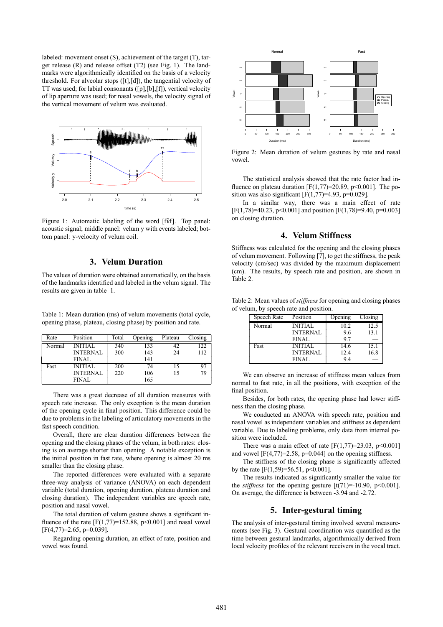labeled: movement onset (S), achievement of the target (T), target release (R) and release offset (T2) (see Fig. 1). The landmarks were algorithmically identified on the basis of a velocity threshold. For alveolar stops ([t],[d]), the tangential velocity of TT was used; for labial consonants ([p],[b],[f]), vertical velocity of lip aperture was used; for nasal vowels, the velocity signal of the vertical movement of velum was evaluated.



Figure 1: Automatic labeling of the word [f $\tilde{f}$ ]. Top panel: acoustic signal; middle panel: velum y with events labeled; bottom panel: y-velocity of velum coil.

# **3. Velum Duration**

The values of duration were obtained automatically, on the basis of the landmarks identified and labeled in the velum signal. The results are given in table 1.

Table 1: Mean duration (ms) of velum movements (total cycle, opening phase, plateau, closing phase) by position and rate.

| Rate   | Position        | Total | Opening | Plateau | Closing |
|--------|-----------------|-------|---------|---------|---------|
| Normal | <b>INITIAL</b>  | 340   | 133     | 42      | 122     |
|        | <b>INTERNAL</b> | 300   | 143     | 24      | 112     |
|        | <b>FINAL</b>    |       | 141     |         |         |
| Fast   | <b>INITIAL</b>  | 200   | 74      | 15      |         |
|        | <b>INTERNAL</b> | 220   | 106     | 15      | 79      |
|        | <b>FINAL</b>    |       | 165     |         |         |

There was a great decrease of all duration measures with speech rate increase. The only exception is the mean duration of the opening cycle in final position. This difference could be due to problems in the labeling of articulatory movements in the fast speech condition.

Overall, there are clear duration differences between the opening and the closing phases of the velum, in both rates: closing is on average shorter than opening. A notable exception is the initial position in fast rate, where opening is almost 20 ms smaller than the closing phase.

The reported differences were evaluated with a separate three-way analysis of variance (ANOVA) on each dependent variable (total duration, opening duration, plateau duration and closing duration). The independent variables are speech rate, position and nasal vowel.

The total duration of velum gesture shows a significant influence of the rate  $[F(1,77)=152.88, p<0.001]$  and nasal vowel  $[F(4,77)=2.65, p=0.039]$ .

Regarding opening duration, an effect of rate, position and vowel was found.



Figure 2: Mean duration of velum gestures by rate and nasal vowel.

The statistical analysis showed that the rate factor had influence on plateau duration [F(1,77)=20.89, p<0.001]. The position was also significant [ $F(1,77)=4.93$ ,  $p=0.029$ ].

In a similar way, there was a main effect of rate  $[F(1,78)=40.23, p<0.001]$  and position  $[F(1,78)=9.40, p=0.003]$ on closing duration.

# **4. Velum Stiffness**

Stiffness was calculated for the opening and the closing phases of velum movement. Following [7], to get the stiffness, the peak velocity (cm/sec) was divided by the maximum displacement (cm). The results, by speech rate and position, are shown in Table 2.

Table 2: Mean values of *stiffness*for opening and closing phases of velum, by speech rate and position.

| Speech Rate | Position        | Opening | Closing |
|-------------|-----------------|---------|---------|
| Normal      | <b>INITIAL</b>  | 10.2    | 12.5    |
|             | <b>INTERNAL</b> | 9.6     | 13.1    |
|             | <b>FINAL</b>    | 97      |         |
| Fast        | <b>INITIAL</b>  | 14.6    | 15.1    |
|             | <b>INTERNAL</b> | 12.4    | 16.8    |
|             | <b>FINAL</b>    | 9.4     |         |

We can observe an increase of stiffness mean values from normal to fast rate, in all the positions, with exception of the final position.

Besides, for both rates, the opening phase had lower stiffness than the closing phase.

We conducted an ANOVA with speech rate, position and nasal vowel as independent variables and stiffness as dependent variable. Due to labeling problems, only data from internal position were included.

There was a main effect of rate  $[F(1,77)=23.03, p<0.001]$ and vowel  $[F(4,77)=2.58, p=0.044]$  on the opening stiffness.

The stiffness of the closing phase is significantly affected by the rate  $[F(1,59)=56.51, p<0.001]$ .

The results indicated as significantly smaller the value for the *stiffness* for the opening gesture  $[t(71)=10.90, p<0.001]$ . On average, the difference is between -3.94 and -2.72.

## **5. Inter-gestural timing**

The analysis of inter-gestural timing involved several measurements (see Fig. 3). Gestural coordination was quantified as the time between gestural landmarks, algorithmically derived from local velocity profiles of the relevant receivers in the vocal tract.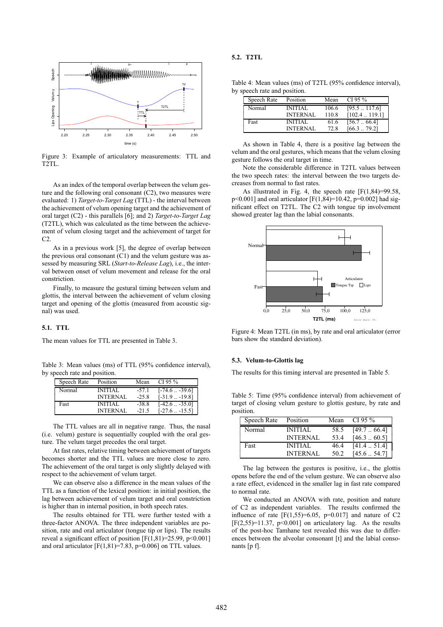

Figure 3: Example of articulatory measurements: TTL and T2TL.

As an index of the temporal overlap between the velum gesture and the following oral consonant (C2), two measures were evaluated: 1) *Target-to-Target Lag* (TTL) - the interval between the achievement of velum opening target and the achievement of oral target (C2) - this parallels [6]; and 2) *Target-to-Target Lag* (T2TL), which was calculated as the time between the achievement of velum closing target and the achievement of target for  $C2$ .

As in a previous work [5], the degree of overlap between the previous oral consonant (C1) and the velum gesture was assessed by measuring SRL (*Start-to-Release Lag*), i.e., the interval between onset of velum movement and release for the oral constriction.

Finally, to measure the gestural timing between velum and glottis, the interval between the achievement of velum closing target and opening of the glottis (measured from acoustic signal) was used.

#### **5.1. TTL**

The mean values for TTL are presented in Table 3.

Table 3: Mean values (ms) of TTL (95% confidence interval), by speech rate and position.

| Speech Rate | Position        | Mean    | CI 95 $%$             |
|-------------|-----------------|---------|-----------------------|
| Normal      | <b>INITIAL</b>  | $-57.1$ | $[-74.6 - 39.6]$      |
|             | <b>INTERNAL</b> | $-25.8$ | $[-31.9 - 19.8]$      |
| Fast        | <b>INITIAL</b>  | $-38.8$ | $[-42.6 \dots -35.0]$ |
|             | <b>INTERNAL</b> | $-21.5$ | $[-27.6 \dots -15.5]$ |

The TTL values are all in negative range. Thus, the nasal (i.e. velum) gesture is sequentially coupled with the oral gesture. The velum target precedes the oral target.

At fast rates, relative timing between achievement of targets becomes shorter and the TTL values are more close to zero. The achievement of the oral target is only slightly delayed with respect to the achievement of velum target.

We can observe also a difference in the mean values of the TTL as a function of the lexical position: in initial position, the lag between achievement of velum target and oral constriction is higher than in internal position, in both speech rates.

The results obtained for TTL were further tested with a three-factor ANOVA. The three independent variables are position, rate and oral articulator (tongue tip or lips). The results reveal a significant effect of position  $[F(1,81)=25.99, p<0.001]$ and oral articulator  $[F(1,81)=7.83, p=0.006]$  on TTL values.

#### **5.2. T2TL**

Table 4: Mean values (ms) of T2TL (95% confidence interval), by speech rate and position.

| Speech Rate | Position                          | Mean          | CI 95 $%$                           |
|-------------|-----------------------------------|---------------|-------------------------------------|
| Normal      | <b>INITIAL</b>                    | 106.6         | [95.5117.6]                         |
| Fast        | <b>INTERNAL</b><br><b>INITIAL</b> | 110.8<br>61.6 | $[102.4 \dots 119.1]$<br>[56.766.4] |
|             | <b>INTERNAL</b>                   | 72.8          | [66.379.2]                          |

As shown in Table 4, there is a positive lag between the velum and the oral gestures, which means that the velum closing gesture follows the oral target in time.

Note the considerable difference in T2TL values between the two speech rates: the interval between the two targets decreases from normal to fast rates.

As illustrated in Fig. 4, the speech rate  $[F(1,84)=99.58,$ p<0.001] and oral articulator [F(1,84)=10.42, p=0.002] had significant effect on T2TL. The C2 with tongue tip involvement showed greater lag than the labial consonants.



Figure 4: Mean T2TL (in ms), by rate and oral articulator (error bars show the standard deviation).

#### **5.3. Velum-to-Glottis lag**

The results for this timing interval are presented in Table 5.

Table 5: Time (95% confidence interval) from achievement of target of closing velum gesture to glottis gesture, by rate and position.

| Speech Rate | Position        | Mean | CI 95 $%$           |
|-------------|-----------------|------|---------------------|
| Normal      | <b>INITIAL</b>  | 58.5 | [49.766.4]          |
|             | <b>INTERNAL</b> | 53.4 | $[46.3 \dots 60.5]$ |
| Fast        | <b>INITIAL</b>  | 46.4 | $[41.4 \dots 51.4]$ |
|             | <b>INTERNAL</b> | 50.2 | $[45.6 \dots 54.7]$ |

The lag between the gestures is positive, i.e., the glottis opens before the end of the velum gesture. We can observe also a rate effect, evidenced in the smaller lag in fast rate compared to normal rate.

We conducted an ANOVA with rate, position and nature of C2 as independent variables. The results confirmed the influence of rate  $[F(1,55)=6.05, p=0.017]$  and nature of C2  $[F(2,55)=11.37, p<0.001]$  on articulatory lag. As the results of the post-hoc Tamhane test revealed this was due to differences between the alveolar consonant [t] and the labial consonants [p f].